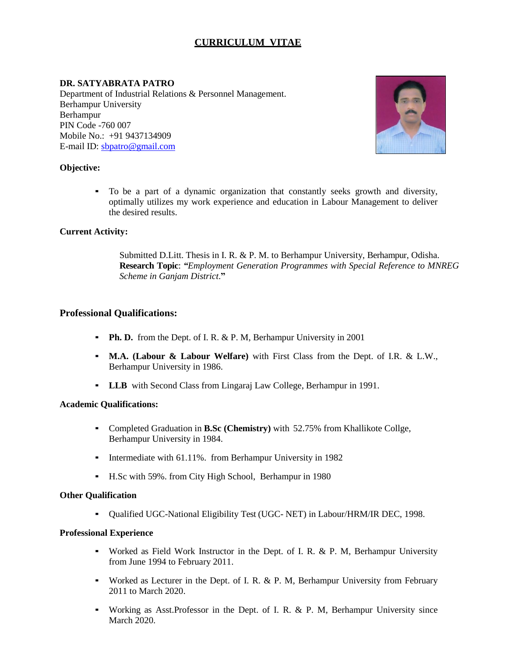# **CURRICULUM VITAE**

# **DR. SATYABRATA PATRO**

Department of Industrial Relations & Personnel Management. Berhampur University Berhampur PIN Code -760 007 Mobile No.: +91 9437134909 E-mail ID: [sbpatro@gmail.com](mailto:sbpatro@gmail.com)



### **Objective:**

To be a part of a dynamic organization that constantly seeks growth and diversity, optimally utilizes my work experience and education in Labour Management to deliver the desired results.

### **Current Activity:**

Submitted D.Litt. Thesis in I. R. & P. M. to Berhampur University, Berhampur, Odisha. **Research Topic**: *"Employment Generation Programmes with Special Reference to MNREG Scheme in Ganjam District*.**"**

### **Professional Qualifications:**

- **Ph. D.** from the Dept. of I. R. & P. M, Berhampur University in 2001
- **M.A. (Labour & Labour Welfare)** with First Class from the Dept. of I.R. & L.W., Berhampur University in 1986.
- **LLB** with Second Class from Lingaraj Law College, Berhampur in 1991.

### **Academic Qualifications:**

- Completed Graduation in **B.Sc (Chemistry)** with 52.75% from Khallikote Collge, Berhampur University in 1984.
- Intermediate with 61.11%. from Berhampur University in 1982
- H.Sc with 59%. from City High School, Berhampur in 1980

### **Other Qualification**

▪ Qualified UGC-National Eligibility Test (UGC- NET) in Labour/HRM/IR DEC, 1998.

### **Professional Experience**

- Worked as Field Work Instructor in the Dept. of I. R. & P. M, Berhampur University from June 1994 to February 2011.
- Worked as Lecturer in the Dept. of I. R. & P. M, Berhampur University from February 2011 to March 2020.
- Working as Asst.Professor in the Dept. of I. R. & P. M, Berhampur University since March 2020.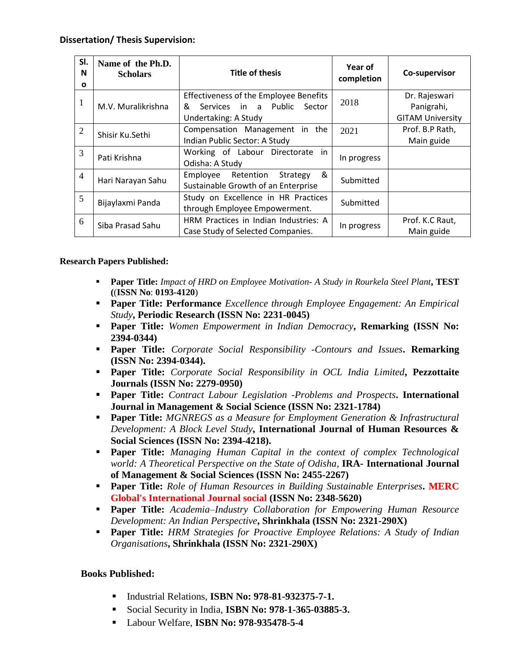| SI.<br>N<br>O  | Name of the Ph.D.<br><b>Scholars</b> | <b>Title of thesis</b>                                                        | Year of<br>completion | Co-supervisor                 |
|----------------|--------------------------------------|-------------------------------------------------------------------------------|-----------------------|-------------------------------|
| 1              | M.V. Muralikrishna                   | Effectiveness of the Employee Benefits<br>Services in a Public<br>&<br>Sector | 2018                  | Dr. Rajeswari<br>Panigrahi,   |
|                |                                      | Undertaking: A Study                                                          |                       | <b>GITAM University</b>       |
| $\overline{2}$ | Shisir Ku.Sethi                      | Compensation Management in the<br>Indian Public Sector: A Study               | 2021                  | Prof. B.P Rath,<br>Main guide |
| 3              | Pati Krishna                         | Working of Labour Directorate in<br>Odisha: A Study                           | In progress           |                               |
| $\overline{4}$ | Hari Narayan Sahu                    | &<br>Employee Retention<br>Strategy<br>Sustainable Growth of an Enterprise    | Submitted             |                               |
| 5              | Bijaylaxmi Panda                     | Study on Excellence in HR Practices<br>through Employee Empowerment.          | Submitted             |                               |
| 6              | Siba Prasad Sahu                     | HRM Practices in Indian Industries: A<br>Case Study of Selected Companies.    | In progress           | Prof. K.C Raut,<br>Main guide |

# **Research Papers Published:**

- **Paper Title:** *Impact of HRD on Employee Motivation- A Study in Rourkela Steel Plant***, TEST (**(**ISSN No**: **0193-4120**)
- **Paper Title: Performance** *Excellence through Employee Engagement: An Empirical Study***, Periodic Research (ISSN No: 2231-0045)**
- **Paper Title:** *Women Empowerment in Indian Democracy***, Remarking (ISSN No: 2394-0344)**
- **Paper Title:** *Corporate Social Responsibility -Contours and Issues***. Remarking (ISSN No: 2394-0344).**
- **Paper Title:** *Corporate Social Responsibility in OCL India Limited***, Pezzottaite Journals (ISSN No: 2279-0950)**
- **Paper Title:** *Contract Labour Legislation -Problems and Prospects***. International Journal in Management & Social Science (ISSN No: 2321-1784)**
- **Paper Title:** *MGNREGS as a Measure for Employment Generation & Infrastructural Development: A Block Level Study***, International Journal of Human Resources & Social Sciences (ISSN No: 2394-4218).**
- **Paper Title:** *Managing Human Capital in the context of complex Technological world: A Theoretical Perspective on the State of Odisha,* **IRA- International Journal of Management & Social Sciences (ISSN No: 2455-2267)**
- **Paper Title:** *Role of Human Resources in Building Sustainable Enterprises***. MERC Global's International Journal social (ISSN No: 2348-5620)**
- **Paper Title:** *Academia–Industry Collaboration for Empowering Human Resource Development: An Indian Perspective***, Shrinkhala (ISSN No: 2321-290X)**
- **Paper Title:** *HRM Strategies for Proactive Employee Relations: A Study of Indian Organisations***, Shrinkhala (ISSN No: 2321-290X)**

# **Books Published:**

- **Industrial Relations, ISBN No: 978-81-932375-7-1.**
- Social Security in India, **ISBN No: 978-1-365-03885-3.**
- Labour Welfare, **ISBN No: 978-935478-5-4**